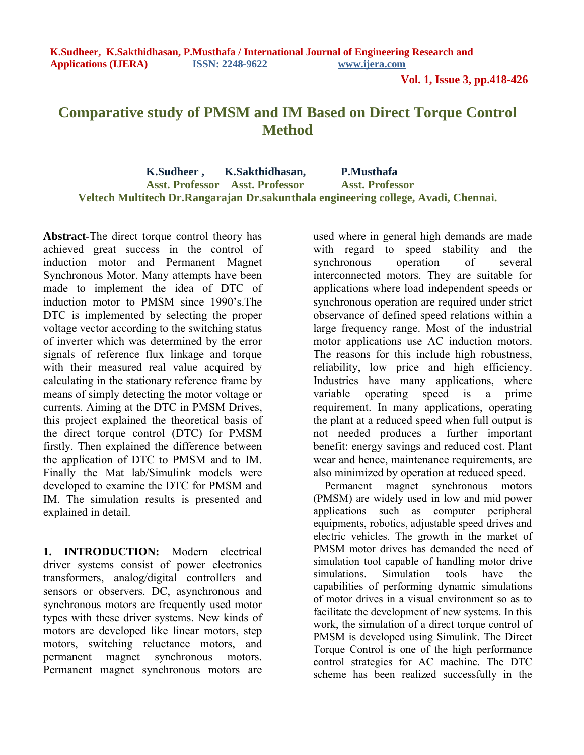**Vol. 1, Issue 3, pp.418-426**

# **Comparative study of PMSM and IM Based on Direct Torque Control Method**

 **K.Sudheer , K.Sakthidhasan, P.Musthafa Asst. Professor Asst. Professor Asst. Professor Veltech Multitech Dr.Rangarajan Dr.sakunthala engineering college, Avadi, Chennai.**

**Abstract**-The direct torque control theory has achieved great success in the control of induction motor and Permanent Magnet Synchronous Motor. Many attempts have been made to implement the idea of DTC of induction motor to PMSM since 1990's.The DTC is implemented by selecting the proper voltage vector according to the switching status of inverter which was determined by the error signals of reference flux linkage and torque with their measured real value acquired by calculating in the stationary reference frame by means of simply detecting the motor voltage or currents. Aiming at the DTC in PMSM Drives, this project explained the theoretical basis of the direct torque control (DTC) for PMSM firstly. Then explained the difference between the application of DTC to PMSM and to IM. Finally the Mat lab/Simulink models were developed to examine the DTC for PMSM and IM. The simulation results is presented and explained in detail.

**1. INTRODUCTION:** Modern electrical driver systems consist of power electronics transformers, analog/digital controllers and sensors or observers. DC, asynchronous and synchronous motors are frequently used motor types with these driver systems. New kinds of motors are developed like linear motors, step motors, switching reluctance motors, and permanent magnet synchronous motors. Permanent magnet synchronous motors are

used where in general high demands are made with regard to speed stability and the synchronous operation of several interconnected motors. They are suitable for applications where load independent speeds or synchronous operation are required under strict observance of defined speed relations within a large frequency range. Most of the industrial motor applications use AC induction motors. The reasons for this include high robustness, reliability, low price and high efficiency. Industries have many applications, where variable operating speed is a prime requirement. In many applications, operating the plant at a reduced speed when full output is not needed produces a further important benefit: energy savings and reduced cost. Plant wear and hence, maintenance requirements, are also minimized by operation at reduced speed.

 Permanent magnet synchronous motors (PMSM) are widely used in low and mid power applications such as computer peripheral equipments, robotics, adjustable speed drives and electric vehicles. The growth in the market of PMSM motor drives has demanded the need of simulation tool capable of handling motor drive simulations. Simulation tools have the capabilities of performing dynamic simulations of motor drives in a visual environment so as to facilitate the development of new systems. In this work, the simulation of a direct torque control of PMSM is developed using Simulink. The Direct Torque Control is one of the high performance control strategies for AC machine. The DTC scheme has been realized successfully in the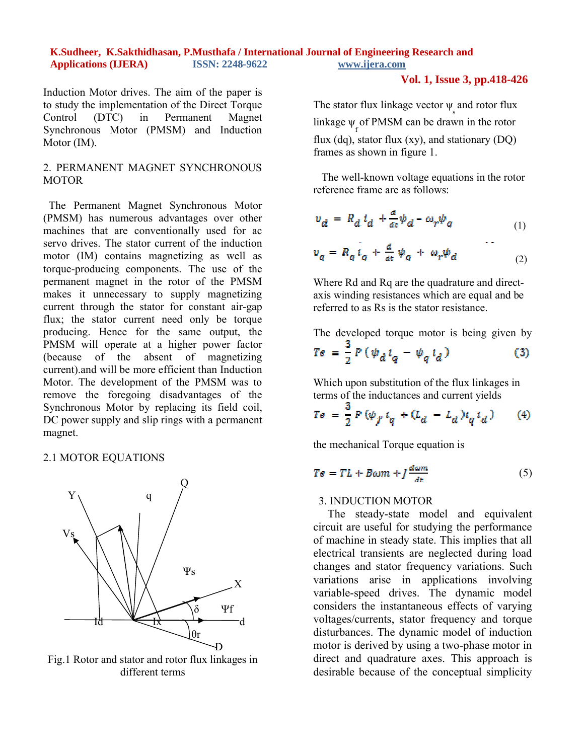#### **Vol. 1, Issue 3, pp.418-426**

Induction Motor drives. The aim of the paper is to study the implementation of the Direct Torque Control (DTC) in Permanent Magnet Synchronous Motor (PMSM) and Induction Motor (IM).

# 2. PERMANENT MAGNET SYNCHRONOUS **MOTOR**

 The Permanent Magnet Synchronous Motor (PMSM) has numerous advantages over other machines that are conventionally used for ac servo drives. The stator current of the induction motor (IM) contains magnetizing as well as torque-producing components. The use of the permanent magnet in the rotor of the PMSM makes it unnecessary to supply magnetizing current through the stator for constant air-gap flux; the stator current need only be torque producing. Hence for the same output, the PMSM will operate at a higher power factor (because of the absent of magnetizing current).and will be more efficient than Induction Motor. The development of the PMSM was to remove the foregoing disadvantages of the Synchronous Motor by replacing its field coil, DC power supply and slip rings with a permanent magnet.

#### 2.1 MOTOR EQUATIONS



Fig.1 Rotor and stator and rotor flux linkages in different terms

The stator flux linkage vector  $\psi_{\rm s}$  and rotor flux linkage  $\psi_f$  of PMSM can be drawn in the rotor flux (dq), stator flux  $(xy)$ , and stationary  $(DQ)$ frames as shown in figure 1.

 The well-known voltage equations in the rotor reference frame are as follows:

$$
v_d = R_d i_d + \frac{d}{dt} \psi_d - \omega_r \psi_q
$$
  
\n
$$
v_q = R_q i_q + \frac{d}{dt} \psi_q + \omega_r \psi_d
$$
 (1)

 Where Rd and Rq are the quadrature and directaxis winding resistances which are equal and be referred to as Rs is the stator resistance.

The developed torque motor is being given by

$$
Te = \frac{3}{2} P \left( \psi_d \, i_q - \psi_q \, i_d \right) \tag{3}
$$

Which upon substitution of the flux linkages in terms of the inductances and current yields

$$
Te = \frac{3}{2} P (\psi_f \, i_q + (L_d - L_d) i_q \, i_d) \tag{4}
$$

the mechanical Torque equation is

$$
Te = TL + B\omega m + J\frac{d\omega m}{dt} \tag{5}
$$

# 3. INDUCTION MOTOR

 The steady-state model and equivalent circuit are useful for studying the performance of machine in steady state. This implies that all electrical transients are neglected during load changes and stator frequency variations. Such variations arise in applications involving variable-speed drives. The dynamic model considers the instantaneous effects of varying voltages/currents, stator frequency and torque disturbances. The dynamic model of induction motor is derived by using a two-phase motor in direct and quadrature axes. This approach is desirable because of the conceptual simplicity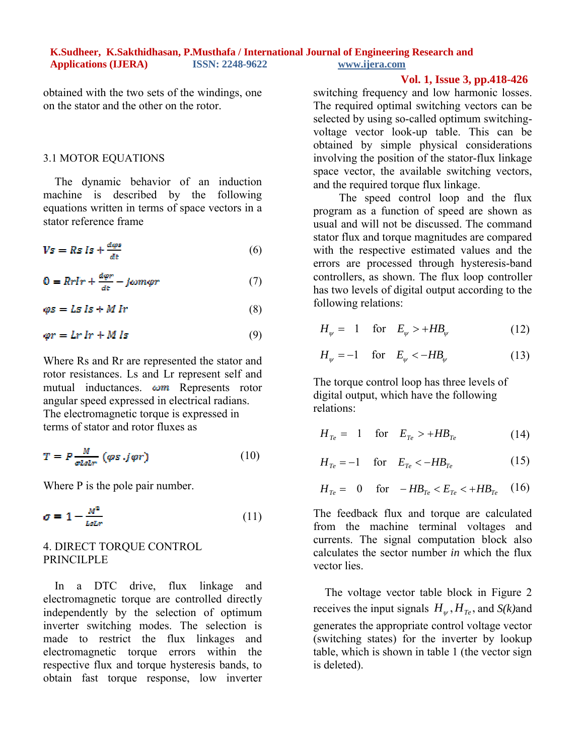obtained with the two sets of the windings, one on the stator and the other on the rotor.

#### 3.1 MOTOR EQUATIONS

 The dynamic behavior of an induction machine is described by the following equations written in terms of space vectors in a stator reference frame

$$
Vs = Rs Is + \frac{d\varphi s}{dt} \tag{6}
$$

$$
0 = Rrlr + \frac{a\varphi r}{d\epsilon} - j\omega m\varphi r \tag{7}
$$

$$
\varphi s = Ls \, \text{ls} + M \, \text{lr} \tag{8}
$$

$$
\varphi r = Lr \, lr + M \, ls \tag{9}
$$

Where Rs and Rr are represented the stator and rotor resistances. Ls and Lr represent self and mutual inductances.  $\omega m$  Represents rotor angular speed expressed in electrical radians. The electromagnetic torque is expressed in terms of stator and rotor fluxes as

$$
T = P \frac{M}{\sigma L s L r} (\varphi s . j \varphi r) \tag{10}
$$

Where P is the pole pair number.

$$
\sigma = 1 - \frac{M^2}{LsLr} \tag{11}
$$

# 4. DIRECT TORQUE CONTROL PRINCILPLE

 In a DTC drive, flux linkage and electromagnetic torque are controlled directly independently by the selection of optimum inverter switching modes. The selection is made to restrict the flux linkages and electromagnetic torque errors within the respective flux and torque hysteresis bands, to obtain fast torque response, low inverter

#### **Vol. 1, Issue 3, pp.418-426**

switching frequency and low harmonic losses. The required optimal switching vectors can be selected by using so-called optimum switchingvoltage vector look-up table. This can be obtained by simple physical considerations involving the position of the stator-flux linkage space vector, the available switching vectors, and the required torque flux linkage.

The speed control loop and the flux program as a function of speed are shown as usual and will not be discussed. The command stator flux and torque magnitudes are compared with the respective estimated values and the errors are processed through hysteresis-band controllers, as shown. The flux loop controller has two levels of digital output according to the following relations:

$$
H_{\psi} = 1 \quad \text{for} \quad E_{\psi} > +HB_{\psi} \tag{12}
$$

$$
H_{\psi} = -1 \quad \text{for} \quad E_{\psi} < -HB_{\psi} \tag{13}
$$

The torque control loop has three levels of digital output, which have the following relations:

$$
H_{Te} = 1 \quad \text{for} \quad E_{Te} > +HB_{Te} \tag{14}
$$

$$
H_{Te} = -1 \quad \text{for} \quad E_{Te} < -HB_{Te} \tag{15}
$$

$$
H_{Te} = 0
$$
 for  $-H B_{Te} < E_{Te} < +H B_{Te}$  (16)

The feedback flux and torque are calculated from the machine terminal voltages and currents. The signal computation block also calculates the sector number *in* which the flux vector lies.

 The voltage vector table block in Figure 2 receives the input signals  $H_{\nu}$ ,  $H_{T_e}$ , and *S(k)*and generates the appropriate control voltage vector (switching states) for the inverter by lookup table, which is shown in table 1 (the vector sign is deleted).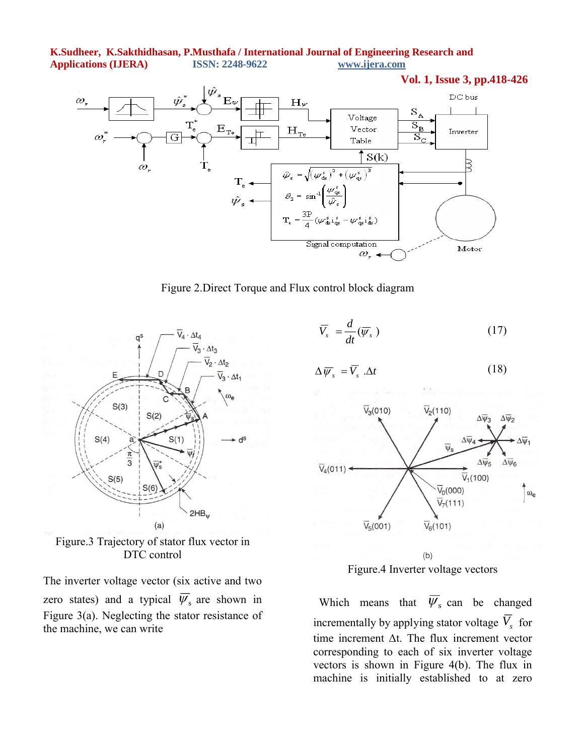

Figure 2.Direct Torque and Flux control block diagram



Figure.3 Trajectory of stator flux vector in DTC control

The inverter voltage vector (six active and two zero states) and a typical  $\overline{\psi}_s$  are shown in Figure 3(a). Neglecting the stator resistance of the machine, we can write

$$
\overline{V}_s = \frac{d}{dt}(\overline{\psi}_s)
$$
 (17)

$$
\Delta \overline{\psi}_s = \overline{V}_s \cdot \Delta t \tag{18}
$$



 $(b)$ Figure.4 Inverter voltage vectors

Which means that  $\overline{\psi}_s$  can be changed incrementally by applying stator voltage  $\overline{V}_s$  for time increment Δt. The flux increment vector corresponding to each of six inverter voltage vectors is shown in Figure 4(b). The flux in machine is initially established to at zero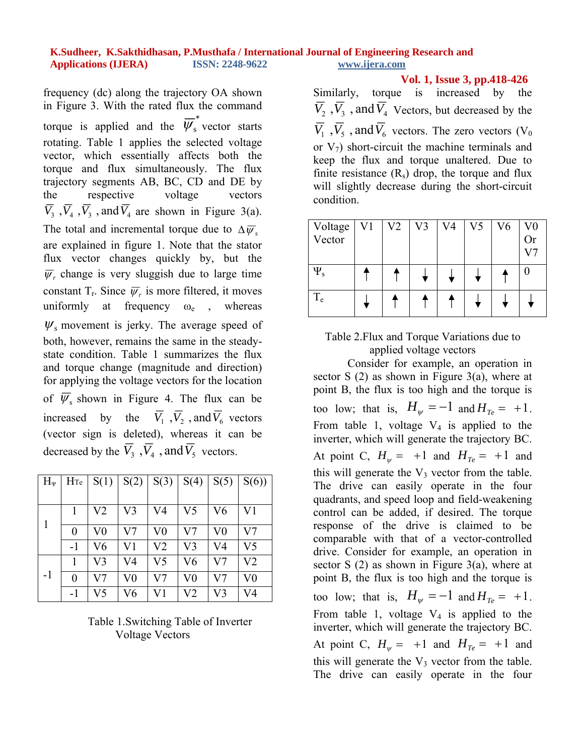frequency (dc) along the trajectory OA shown in Figure 3. With the rated flux the command torque is applied and the  $\overline{\psi}_s^*$  vector starts rotating. Table 1 applies the selected voltage vector, which essentially affects both the torque and flux simultaneously. The flux trajectory segments AB, BC, CD and DE by the respective voltage vectors  $\overline{V}_3$ ,  $\overline{V}_4$ ,  $\overline{V}_3$ , and  $\overline{V}_4$  are shown in Figure 3(a). The total and incremental torque due to  $\Delta \overline{\psi}_s$ . are explained in figure 1. Note that the stator flux vector changes quickly by, but the  $\overline{\psi}$ , change is very sluggish due to large time constant  $T_r$ . Since  $\overline{\psi}_r$  is more filtered, it moves uniformly at frequency  $\omega_e$ , whereas  $W_s$  movement is jerky. The average speed of both, however, remains the same in the steadystate condition. Table 1 summarizes the flux and torque change (magnitude and direction) for applying the voltage vectors for the location of  $\overline{\psi}_s$  shown in Figure 4. The flux can be increased by the  $\overline{V}_1$ ,  $\overline{V}_2$ , and  $\overline{V}_6$  vectors (vector sign is deleted), whereas it can be decreased by the  $\overline{V}_3$ ,  $\overline{V}_4$ , and  $\overline{V}_5$  vectors.

| $H_{\Psi}$ | H <sub>Te</sub> | S(1)           | S(2)           | S(3)           | S(4)           | S(5)     | S(6)           |
|------------|-----------------|----------------|----------------|----------------|----------------|----------|----------------|
|            |                 |                |                |                |                |          |                |
|            |                 | V <sub>2</sub> | V <sub>3</sub> | V4             | V5             | V6       | V <sub>1</sub> |
|            | 0               | $\rm V0$       | V7             | $_{\rm V0}$    | V7             | $\rm V0$ | V7             |
|            | -1              | V6             | V1             | V <sub>2</sub> | V3             | V4       | V5             |
|            |                 | V3             | V4             | V <sub>5</sub> | V6             | V7       | V2             |
| $-1$       | $\overline{0}$  | V7             | V <sub>0</sub> | V <sub>7</sub> | V <sub>0</sub> | V7       | $\rm V0$       |
|            | -1              | V5             | V6             | V1             | V <sub>2</sub> | V3       | V4             |

Table 1.Switching Table of Inverter Voltage Vectors

 **Vol. 1, Issue 3, pp.418-426**

Similarly, torque is increased by the  $\overline{V}_2$ ,  $\overline{V}_3$ , and  $\overline{V}_4$  Vectors, but decreased by the  $\overline{V_1}$ ,  $\overline{V_5}$ , and  $\overline{V_6}$  vectors. The zero vectors (V<sub>0</sub>) or  $V_7$ ) short-circuit the machine terminals and keep the flux and torque unaltered. Due to finite resistance  $(R_s)$  drop, the torque and flux will slightly decrease during the short-circuit condition.

| Voltage     | V <sub>1</sub> | V <sub>2</sub> | V3 | V4 | V5 | V6 | $\rm V0$  |
|-------------|----------------|----------------|----|----|----|----|-----------|
| Vector      |                |                |    |    |    |    | <b>Or</b> |
|             |                |                |    |    |    |    |           |
| $\Psi_{s}$  |                |                |    |    |    |    |           |
|             |                |                |    |    |    |    |           |
| $T_{\rm e}$ |                |                |    |    |    |    |           |
|             |                |                |    |    |    |    |           |

# Table 2.Flux and Torque Variations due to applied voltage vectors

Consider for example, an operation in sector S  $(2)$  as shown in Figure 3 $(a)$ , where at point B, the flux is too high and the torque is too low; that is,  $H_w = -1$  and  $H_{T_e} = +1$ . From table 1, voltage  $V_4$  is applied to the inverter, which will generate the trajectory BC. At point C,  $H_w = +1$  and  $H_{Te} = +1$  and this will generate the  $V_3$  vector from the table. The drive can easily operate in the four quadrants, and speed loop and field-weakening control can be added, if desired. The torque response of the drive is claimed to be comparable with that of a vector-controlled drive. Consider for example, an operation in sector S (2) as shown in Figure 3(a), where at point B, the flux is too high and the torque is too low; that is,  $H_w = -1$  and  $H_{T_e} = +1$ . From table 1, voltage  $V_4$  is applied to the inverter, which will generate the trajectory BC. At point C,  $H_w = +1$  and  $H_{T_e} = +1$  and this will generate the  $V_3$  vector from the table. The drive can easily operate in the four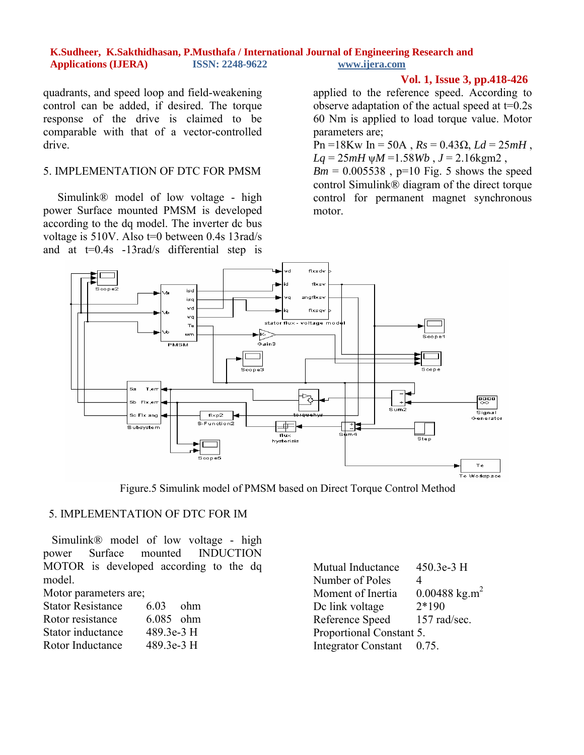quadrants, and speed loop and field-weakening control can be added, if desired. The torque response of the drive is claimed to be comparable with that of a vector-controlled drive.

#### 5. IMPLEMENTATION OF DTC FOR PMSM

 Simulink® model of low voltage - high power Surface mounted PMSM is developed according to the dq model. The inverter dc bus voltage is 510V. Also t=0 between 0.4s 13rad/s and at  $t=0.4s$  -13rad/s differential step is

# **Vol. 1, Issue 3, pp.418-426**

applied to the reference speed. According to observe adaptation of the actual speed at  $t=0.2$ s 60 Nm is applied to load torque value. Motor parameters are;

Pn =18Kw In = 50A , *Rs* = 0.43Ω, *Ld* = 25*mH* ,  $Lq = 25mH \space \Psi M = 1.58 Wb$ ,  $J = 2.16 \text{kgm2}$ ,

 $Bm = 0.005538$ , p=10 Fig. 5 shows the speed control Simulink® diagram of the direct torque control for permanent magnet synchronous motor.



Figure.5 Simulink model of PMSM based on Direct Torque Control Method

# 5. IMPLEMENTATION OF DTC FOR IM

 Simulink® model of low voltage - high power Surface mounted INDUCTION MOTOR is developed according to the dq model.

Motor parameters are;

| <b>Stator Resistance</b> | 6.03        | - ohm |
|--------------------------|-------------|-------|
| Rotor resistance         | $6.085$ ohm |       |
| Stator inductance        | 489.3e-3 H  |       |
| Rotor Inductance         | 489.3e-3 H  |       |

Mutual Inductance 450.3e-3 H Number of Poles 4 Moment of Inertia  $0.00488 \text{ kg.m}^2$ Dc link voltage  $2*190$ Reference Speed 157 rad/sec. Proportional Constant 5. Integrator Constant 0.75.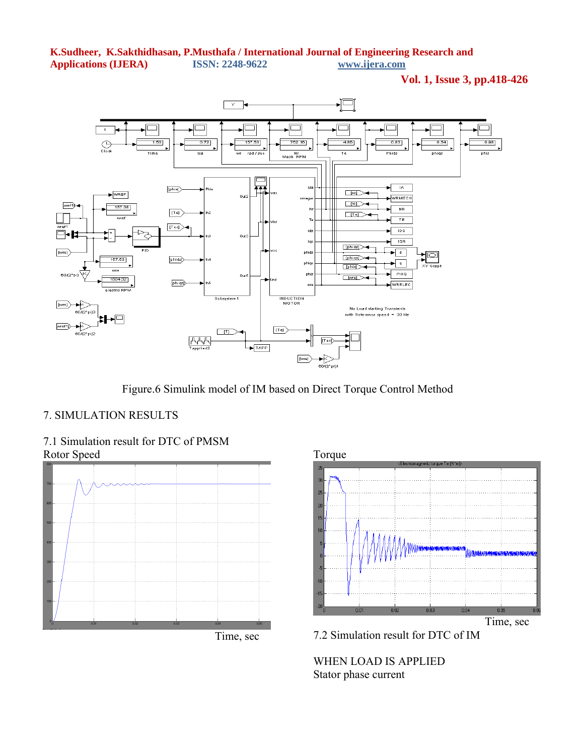**Vol. 1, Issue 3, pp.418-426**



Figure.6 Simulink model of IM based on Direct Torque Control Method

# 7. SIMULATION RESULTS







7.2 Simulation result for DTC of IM

WHEN LOAD IS APPLIED Stator phase current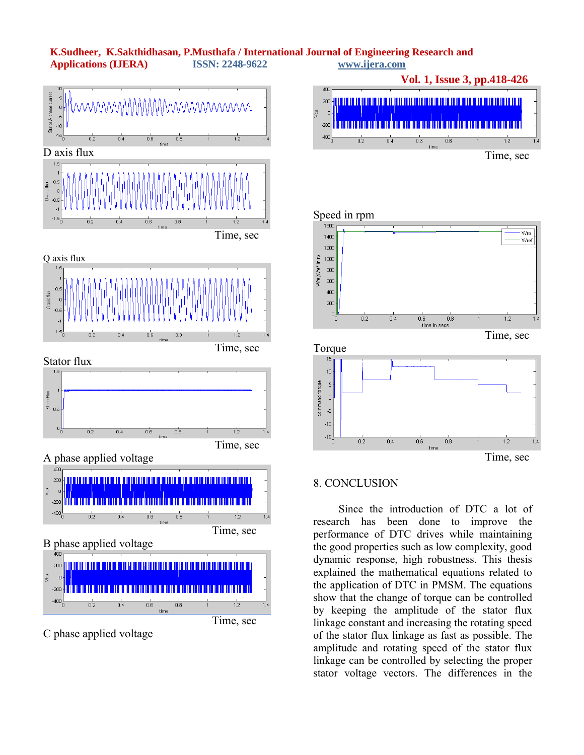



# 8. CONCLUSION

 Since the introduction of DTC a lot of research has been done to improve the performance of DTC drives while maintaining the good properties such as low complexity, good dynamic response, high robustness. This thesis explained the mathematical equations related to the application of DTC in PMSM. The equations show that the change of torque can be controlled by keeping the amplitude of the stator flux linkage constant and increasing the rotating speed of the stator flux linkage as fast as possible. The amplitude and rotating speed of the stator flux linkage can be controlled by selecting the proper stator voltage vectors. The differences in the